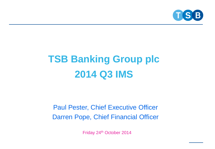

# **TSB Banking Group plc 2014 Q3 IMS**

Paul Pester, Chief Executive Officer Darren Pope, Chief Financial Officer

Friday 24th October 2014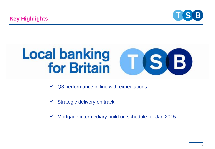



- $\checkmark$  Q3 performance in line with expectations
- $\checkmark$  Strategic delivery on track
- $\checkmark$  Mortgage intermediary build on schedule for Jan 2015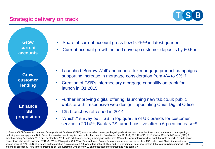### **Strategic delivery on track**



**Grow<br>current**<br>accounts **Grow current accounts**

**Grow customer lending** 

**Enhance TSB proposition**

- Share of current account gross flow 9.7%<sup>(1)</sup> in latest quarter
- Current account growth helped drive up customer deposits by £0.5bn

- Launched 'Borrow Well' and council tax mortgage product campaigns supporting increase in mortgage consideration from 4% to 9%<sup>(2)</sup>
- Creation of TSB's intermediary mortgage capability on track for launch in Q1 2015
- Further improving digital offering; launching new tsb.co.uk public website with 'responsive web design', appointing Chief Digital Officer
- 135 branches refreshed in 2014
- 'Which?' survey put TSB in top quartile of UK brands for customer service in 2014<sup>(3)</sup>; Bank NPS turned positive after a 6 point increase<sup>(4)</sup>

(1)Source: CACI Current Account and Savings Market Database (CSDB) which includes current, packaged, youth, student and basic bank accounts, and new account openings excluding account upgrades. Data Presented on a two month lag, i.e. covers the three months from May to July 2014 (2) © GfK NOP Ltd, Financial Research Survey (FRS) 6 months ending December 2013 and September 2014. 456 adults considering a mortgage in the next 12 months were interviewed for each 6 month period. Results show percentage who would consider TSB. (3) 'Which?' Magazine Oct 2014: 'Best and worst Brands for customer service' survey article – TSB ranked joint 22nd with a customer service score of 76%. (4) NPS is based on the question "On a scale of 0-10, where 0 is not at all likely and 10 is extremely likely, how likely is it that you would recommend TSB to a friend or colleague?" NPS is the percentage of TSB customers who score 9-10 after subtracting the percentage who score 0-6.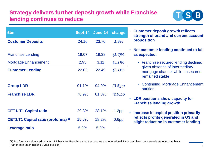## **Strategy delivers further deposit growth while Franchise lending continues to reduce**



| £bn                                             | Sept-14 | <b>June-14</b> | change            |
|-------------------------------------------------|---------|----------------|-------------------|
| <b>Customer Deposits</b>                        | 24.16   | 23.70          | 1.9%              |
|                                                 |         |                |                   |
| <b>Franchise Lending</b>                        | 19.07   | 19.38          | $(1.6)\%$         |
| <b>Mortgage Enhancement</b>                     | 2.95    | 3.11           | $(5.1)\%$         |
| <b>Customer Lending</b>                         | 22.02   | 22.49          | $(2.1)\%$         |
|                                                 |         |                |                   |
| <b>Group LDR</b>                                | 91.1%   | 94.9%          | $(3.8)$ pp        |
| <b>Franchise LDR</b>                            | 78.9%   | 81.8%          | $(2.9)$ pp        |
|                                                 |         |                |                   |
| <b>CET1/T1 Capital ratio</b>                    | 29.3%   | 28.1%          | 1.2 <sub>pp</sub> |
| CET1/T1 Capital ratio (proforma) <sup>(1)</sup> | 18.8%   | 18.2%          | 0.6 <sub>pp</sub> |
| Leverage ratio                                  | 5.9%    | 5.9%           |                   |

- **Customer deposit growth reflects strength of brand and current account proposition**
- **Net customer lending continued to fall as expected:**
	- Franchise secured lending declined given absence of intermediary mortgage channel while unsecured remained stable
	- Continuing Mortgage Enhancement attrition
- **LDR positions show capacity for Franchise lending growth**
- **Increase in capital position primarily reflects profits generated in Q3 and slight reduction in customer lending**

(1) Pro forma is calculated on a full IRB basis for Franchise credit exposures and operational RWA calculated on a steady state income basis (rather than on an historic 3 year position)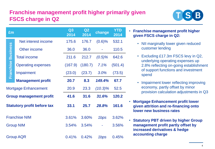## **Franchise management profit higher primarily given FSCS charge in Q2**

| £m                             |                                    | Q3<br>2014 | Q2<br>2014 | change           | <b>YTD</b><br>2014 |
|--------------------------------|------------------------------------|------------|------------|------------------|--------------------|
| <b>Franchise Business</b>      | Net interest income                | 175.6      | 176.7      | (0.6)%           | 532.1              |
|                                | <b>Other income</b>                | 36.0       | 36.0       |                  | 110.5              |
|                                | <b>Total income</b>                | 211.6      | 212.7      | $(0.5)\%$        | 642.6              |
|                                | <b>Operating expenses</b>          | (167.9)    | (180.7)    | 7.1%             | (501.4)            |
|                                | Impairment                         | (23.0)     | (23.7)     | 3.0%             | (73.5)             |
|                                | <b>Management profit</b>           | 20.7       | 8.3        | 149.4%           | 67.7               |
| Mortgage Enhancement           |                                    | 20.9       | 23.3       | $(10.3)\%$       | 52.5               |
| <b>Group management profit</b> |                                    | 41.6       | 31.6       | 31.6%            | 120.2              |
|                                | <b>Statutory profit before tax</b> | 33.1       | 25.7       | 28.8%            | 161.6              |
| <b>Franchise NIM</b>           |                                    | 3.61%      | 3.60%      | 1bps             | 3.62%              |
|                                | <b>Group NIM</b>                   | 3.54%      | 3.54%      |                  | 3.56%              |
| <b>Group AQR</b>               |                                    | 0.41%      | 0.42%      | 1 <sub>bps</sub> | 0.45%              |



- **Franchise management profit higher given FSCS charge in Q2:**
	- NII marginally lower given reduced customer lending
	- Excluding £17.3m FSCS levy in Q2, underlying operating expenses up 2.8% reflecting on-going establishment of support functions and investment spend
	- Impairment lower reflecting improving economy, partly offset by minor provision calculation adjustments in Q3
- **Mortgage Enhancement profit lower given attrition and re-financing onto lower new business rates**
- **Statutory PBT driven by higher Group management profit partly offset by increased derivatives & hedge accounting charge**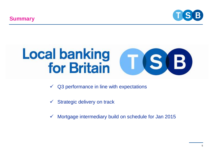**Summary**





- $\checkmark$  Q3 performance in line with expectations
- $\checkmark$  Strategic delivery on track
- $\checkmark$  Mortgage intermediary build on schedule for Jan 2015